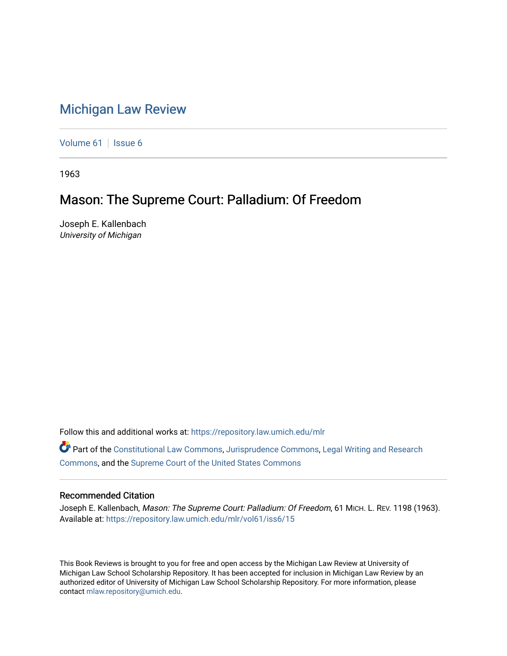## [Michigan Law Review](https://repository.law.umich.edu/mlr)

[Volume 61](https://repository.law.umich.edu/mlr/vol61) | [Issue 6](https://repository.law.umich.edu/mlr/vol61/iss6)

1963

# Mason: The Supreme Court: Palladium: Of Freedom

Joseph E. Kallenbach University of Michigan

Follow this and additional works at: [https://repository.law.umich.edu/mlr](https://repository.law.umich.edu/mlr?utm_source=repository.law.umich.edu%2Fmlr%2Fvol61%2Fiss6%2F15&utm_medium=PDF&utm_campaign=PDFCoverPages) 

Part of the [Constitutional Law Commons,](http://network.bepress.com/hgg/discipline/589?utm_source=repository.law.umich.edu%2Fmlr%2Fvol61%2Fiss6%2F15&utm_medium=PDF&utm_campaign=PDFCoverPages) [Jurisprudence Commons](http://network.bepress.com/hgg/discipline/610?utm_source=repository.law.umich.edu%2Fmlr%2Fvol61%2Fiss6%2F15&utm_medium=PDF&utm_campaign=PDFCoverPages), Legal Writing and Research [Commons](http://network.bepress.com/hgg/discipline/614?utm_source=repository.law.umich.edu%2Fmlr%2Fvol61%2Fiss6%2F15&utm_medium=PDF&utm_campaign=PDFCoverPages), and the [Supreme Court of the United States Commons](http://network.bepress.com/hgg/discipline/1350?utm_source=repository.law.umich.edu%2Fmlr%2Fvol61%2Fiss6%2F15&utm_medium=PDF&utm_campaign=PDFCoverPages) 

### Recommended Citation

Joseph E. Kallenbach, Mason: The Supreme Court: Palladium: Of Freedom, 61 MICH. L. REV. 1198 (1963). Available at: [https://repository.law.umich.edu/mlr/vol61/iss6/15](https://repository.law.umich.edu/mlr/vol61/iss6/15?utm_source=repository.law.umich.edu%2Fmlr%2Fvol61%2Fiss6%2F15&utm_medium=PDF&utm_campaign=PDFCoverPages) 

This Book Reviews is brought to you for free and open access by the Michigan Law Review at University of Michigan Law School Scholarship Repository. It has been accepted for inclusion in Michigan Law Review by an authorized editor of University of Michigan Law School Scholarship Repository. For more information, please contact [mlaw.repository@umich.edu](mailto:mlaw.repository@umich.edu).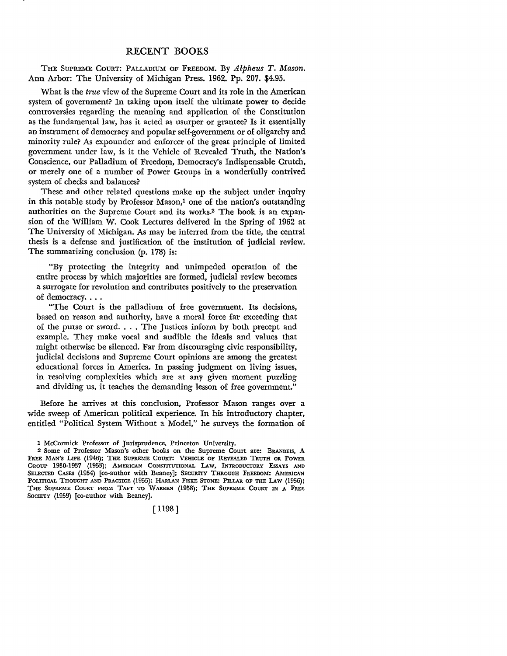#### RECENT BOOKS

THE SUPREME CouRT: PALLADIUM: OF FREEDOM. By *Alpheus T. Mason.*  Ann Arbor: The University of Michigan Press. 1962. Pp. 207. \$4.95.

What is the *true* view of the Supreme Court and its role in the American system of government? In taking upon itself the ultimate power to decide controversies regarding the meaning and application of the Constitution as the fundamental law, has it acted as usurper or grantee? Is it essentially an instrument of democracy and popular self-government or of oligarchy and minority rule? As expounder and enforcer of the great principle of limited government under law, is it the Vehicle of Revealed Truth, the Nation's Conscience, our Palladium of Freedo~, Democracy's Indispensable **Crutch,**  or merely one of a number of Power Groups in a wonderfully contrived system of checks and balances?

These and other related questions make up the subject under inquiry in this notable study by Professor Mason,<sup>1</sup> one of the nation's outstanding authorities on the Supreme Court and its works.2 The book is an expansion of the William W. Cook Lectures delivered in the Spring of 1962 at The University of Michigan. As may be inferred from the title, the central thesis is a defense and justification of the institution of judicial review. The summarizing conclusion (p. 178) is:

"By protecting the integrity and unimpeded operation of the entire process by which majorities are formed, judicial review becomes a surrogate for revolution and contributes positively to the preservation of democracy...

"The Court is the palladium of free government. Its decisions, based on reason and authority, have a moral force far exceeding that of the purse or sword.... The Justices inform by both precept and example. They make vocal and audible the ideals and values that might otherwise be silenced. Far from discouraging civic responsibility, judicial decisions and Supreme Court opinions are among the greatest educational forces in America. In passing judgment on living issues, in resolving complexities which are at any given moment puzzling and dividing us, it teaches the demanding lesson of free government."

Before he arrives at this conclusion, Professor Mason ranges over a wide sweep of American political experience. In his introductory chapter, entitled "Political System Without a Model," he surveys the formation of

[ 1198]

<sup>1</sup> McCormick Professor of Jurisprudence, Princeton University.

<sup>2</sup> Some of Professor Mason's other books on the Supreme Court are: BRANDEIS, A FREE MAN'S LIFE (1946); THE SUPREME COURT: VEHICLE OF REVEALED TRUTH OR POWER GROUP 1930-1937 (1953); AMERICAN CONSTITUTIONAL LAW, INTRODUCTORY ESSAYS AND SELECTED CASES (1954) [CO-author with Beaney]; SECURITY THROUGH FREEDOM: AMERICAN POLITICAL THOUGHT AND PRACTICE (1955); HARLAN FISKE STONE: PILLAR OF THE LAW (1956); THE SUPREME COURT FROM TAFT TO WARREN (1958); THE SUPREME COURT IN A FREE Society (1959) [co-author with Beaney].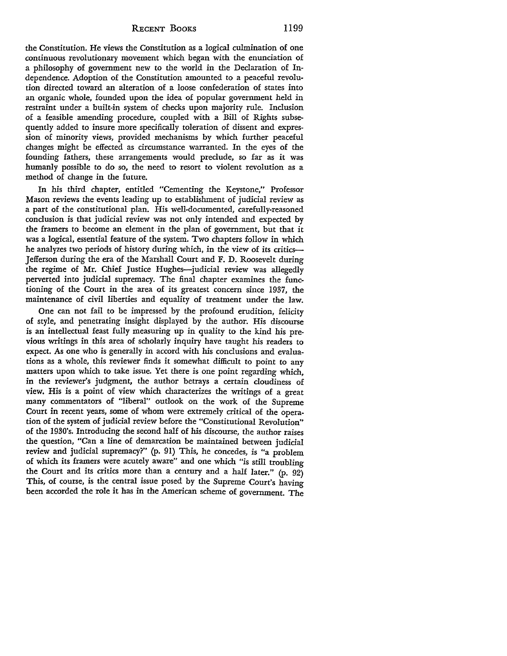RECENT BOOKS 1199

the Constitution. He views the Constitution as a logical culmination of one continuous revolutionary movement which began with the enunciation of a philosophy of government new to the world in the Declaration of Independence. Adoption of the Constitution amounted to a peaceful revolution directed toward an alteration of a loose confederation of states into an organic whole, founded upon the idea of popular government held in restraint under a built-in system of checks upon majority rule. Inclusion of a feasible amending procedure, coupled with a Bill of Rights subsequently added to insure more specifically toleration of dissent and expression of minority views, provided mechanisms by which further peaceful changes might be effected as circumstance warranted. In the eyes of the founding fathers, these arrangements would preclude, so far as it was humanly possible to do so, the need to resort to violent revolution as a method of change in the future.

In his third chapter, entitled "Cementing the Keystone," Professor Mason reviews the events leading up to establishment of judicial review as a part of the constitutional plan. His well-documented, carefully-reasoned conclusion is that judicial review was not only intended and expected by the framers to become an element in the plan of government, but that it was a logical, essential feature of the system. Two chapters follow in which he analyzes two periods of history during which, in the view of its critics-Jefferson during the era of the Marshall Court and F. D. Roosevelt during the regime of Mr. Chief Justice Hughes-judicial review was allegedly perverted into judicial supremacy. The final chapter examines the functioning of the Court in the area of its greatest concern since 1937, the maintenance of civil liberties and equality of treatment under the law.

One can not fail to be impressed by the profound erudition, felicity of style, and penetrating insight displayed by the author. His discourse is an intellectual feast fully measuring up in quality to the kind his previous writings in this area of scholarly inquiry have taught his readers to expect. As one who is generally in accord with his conclusions and evaluations as a whole, this reviewer finds it somewhat difficult to point to any matters upon which to take issue. Yet there is one point regarding which, in the reviewer's judgment, the author betrays a certain cloudiness of view. His is a point of view which characterizes the writings of a great many commentators of "liberal" outlook on the work of the Supreme Court in recent years, some of whom were extremely critical of the operation of the system of judicial review before the "Constitutional Revolution" of the 1930's. Introducing the second half of his discourse, the author raises the question, "Can a line of demarcation be maintained between judicial review and judicial supremacy?" (p. 91) This, he concedes, is "a problem of which its framers were acutely aware" and one which "is still troubling the Court and its critics more than a century and a half later." (p. 92) This, of course, is the central issue posed by the Supreme Court's having been accorded the role it has in the American scheme of government. The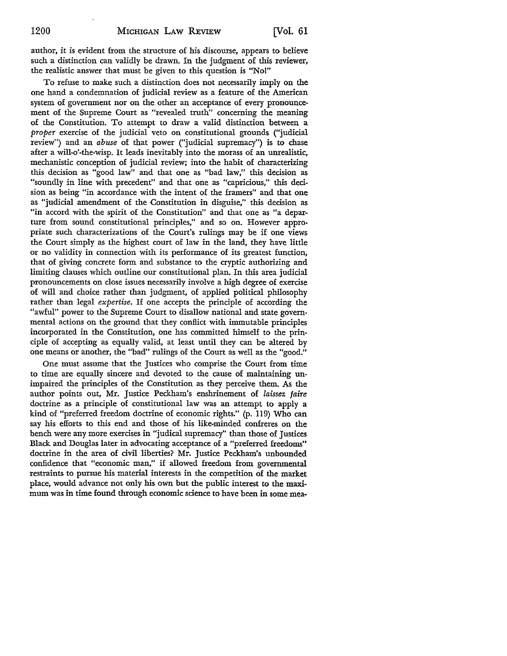author, it is evident from the structure of his discourse, appears to believe such a distinction can validly be drawn. In the judgment of this reviewer, the realistic answer that must be given to this question is "Nol"

To refuse to make such a distinction does not necessarily imply on the one hand a condemnation of judicial review as a feature of the American system of government nor on the other an acceptance of every pronouncement of the Supreme Court as "revealed truth" concerning the meaning of the Constitution. To attempt to draw a valid distinction between a *proper* exercise of the judicial veto on constitutional grounds ("judicial review") and an *abuse* of that power ("judicial supremacy") is to chase after a will-o' -the-wisp. It leads inevitably into the morass of an unrealistic, mechanistic conception of judicial review; into the habit of characterizing this decision as "good law" and that one as "bad law," this decision as "soundly in line with precedent" and that one as "capricious," this deci• sion as being "in accordance with the intent of the framers" and that one as "judicial amendment of the Constitution in disguise," this decision as "in accord with the spirit of the Constitution" and that one as "a departure from sound constitutional principles," and so on. However appropriate such characterizations of the Court's rulings may be if one views the Court simply as the highest court of law in the land, they have little or no validity in connection with its performance of its greatest function, that of giving concrete form and substance to the cryptic authorizing and limiting clauses which outline our constitutional plan. In this area judicial pronouncements on close issues necessarily involve a high degree of exercise of will and choice rather than judgment, of applied political philosophy rather than legal *expertise.* If one accepts the principle of according the "awful" power to the Supreme Court to disallow national and state govern• mental actions on the ground that they conflict with immutable principles incorporated in the Constitution, one has committed himself to the prin• ciple of accepting as equally valid, at least until they can be altered by one means or another, the "bad" rulings of the Court as well as the "good."

One must assume that the Justices who comprise the Court from time to time are equally sincere and devoted to the cause of maintaining unimpaired the principles of the Constitution as they perceive them. As the author points out, Mr. Justice Peckham's enshrinement of *laissez faire*  doctrine as a principle of constitutional law was an attempt to apply a kind of "preferred freedom doctrine of economic rights." (p. 119) Who can say his efforts to this end and those of his like-minded confreres on the bench were any more exercises in "judical supremacy" than those of Justices Black and Douglas later in advocating acceptance of a "preferred freedoms" doctrine in the area of civil liberties? Mr. Justice Peckham's unbounded confidence that "economic man," if allowed freedom from governmental restraints to pursue his material interests in the competition of the market place, would advance not only his own but the public interest to the maximum was in time found through economic science to have been in some mea-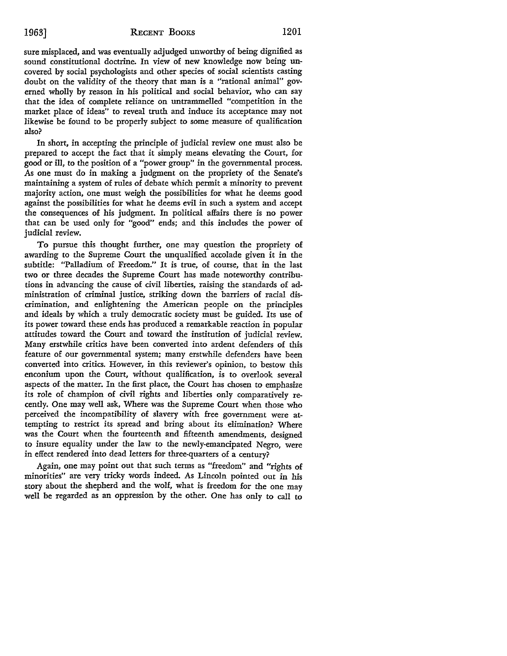### 1963] RECENT BOOKS 1201

sure misplaced, and was eventually adjudged unworthy of being dignified as sound constitutional doctrine. In view of new knowledge now being uncovered by social psychologists and other species of social scientists casting doubt on the validity of the theory that man is a ''rational animal" governed wholly by reason in his political and social behavior, who can say that the idea of complete reliance on untrammelled "competition in the market place of ideas" to reveal truth and induce its acceptance may not likewise be found to be properly subject to some measure of qualification also?

In short, in accepting the principle of judicial review one must also be prepared to accept the fact that it simply means elevating the Court, for good or ill, to the position of a "power group" in the governmental process. As one must do in making a judgment on the propriety of the Senate's maintaining a system of rules of debate which permit a minority to prevent majority action, one must weigh the possibilities for what he deems good against the possibilities for what he deems evil in such a system and accept the consequences of his judgment. In political affairs there is no power that can be used only for "good" ends; and this includes the power of judicial review.

To pursue this thought further, one may question the propriety of awarding to the Supreme Court the unqualified accolade given it in the subtitle: "Palladium of Freedom." It is true, of course, that in the last two or three decades the Supreme Court has made noteworthy contributions in advancing the cause of civil liberties, raising the standards of administration of criminal justice, striking down the barriers of racial discrimination, and enlightening the American people on the principles and ideals by which a truly democratic society must be guided. Its use of its power toward these ends has produced a remarkable reaction in popular attitudes toward the Court and toward the institution of judicial review. Many erstwhile critics have been converted into ardent defenders of this feature of our governmental system; many erstwhile defenders have been converted into critics. However, in this reviewer's opinion, to bestow this enconium upon the Court, without qualification, is to overlook several aspects of the matter. In the first place, the Court has chosen to emphasize its role of champion of civil rights and liberties only comparatively recently. One may well ask, Where was the Supreme Court when those who perceived the incompatibility of slavery with free government were attempting to restrict its spread and bring about its elimination? Where was the Court when the fourteenth and fifteenth amendments, designed to insure equality under the law to the newly-emancipated Negro, were in effect rendered into dead letters for three-quarters of a century?

Again, one may point out that such terms as "freedom" and "rights of minorities" are very tricky words indeed. As Lincoln pointed out in his story about the shepherd and the wolf, what is freedom for the one may well be regarded as an oppression by the other. One has only to call to